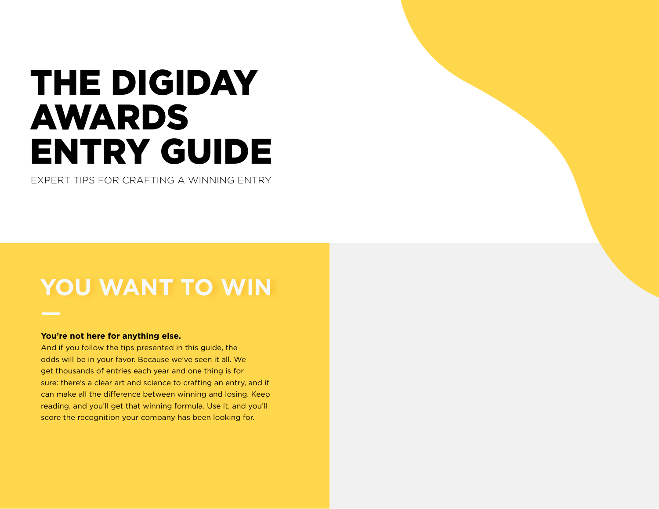# THE DIGIDAY AWARDS ENTRY GUIDE

EXPERT TIPS FOR CRAFTING A WINNING ENTRY

# **YOU WANT TO WIN**

#### **You're not here for anything else.**

And if you follow the tips presented in this guide, the odds will be in your favor. Because we've seen it all. We get thousands of entries each year and one thing is for sure: there's a clear art and science to crafting an entry, and it can make all the difference between winning and losing. Keep reading, and you'll get that winning formula. Use it, and you'll score the recognition your company has been looking for.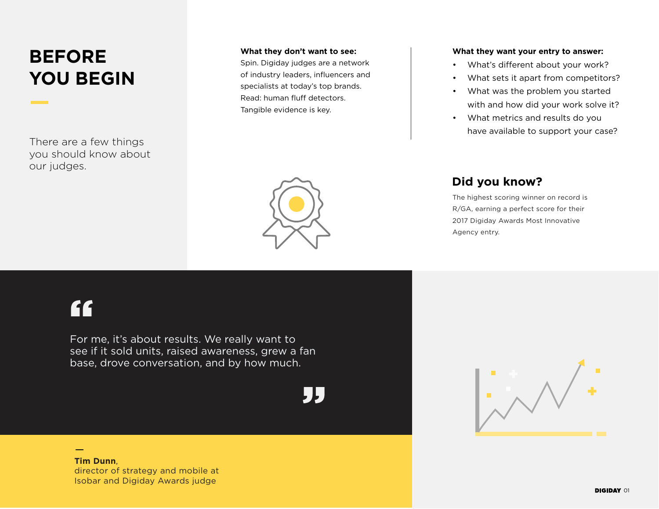## **BEFORE YOU BEGIN**

There are a few things you should know about our judges.

#### **What they don't want to see:**

Spin. Digiday judges are a network of industry leaders, influencers and specialists at today's top brands. Read: human fluff detectors. Tangible evidence is key.

#### **What they want your entry to answer:**

- What's different about your work?
- What sets it apart from competitors?
- What was the problem you started with and how did your work solve it?
- What metrics and results do you have available to support your case?

### **Did you know?**

The highest scoring winner on record is R/GA, earning a perfect score for their 2017 Digiday Awards Most Innovative Agency entry.



## [1]

For me, it's about results. We really want to see if it sold units, raised awareness, grew a fan base, drove conversation, and by how much.



**Tim Dunn**, director of strategy and mobile at Isobar and Digiday Awards judge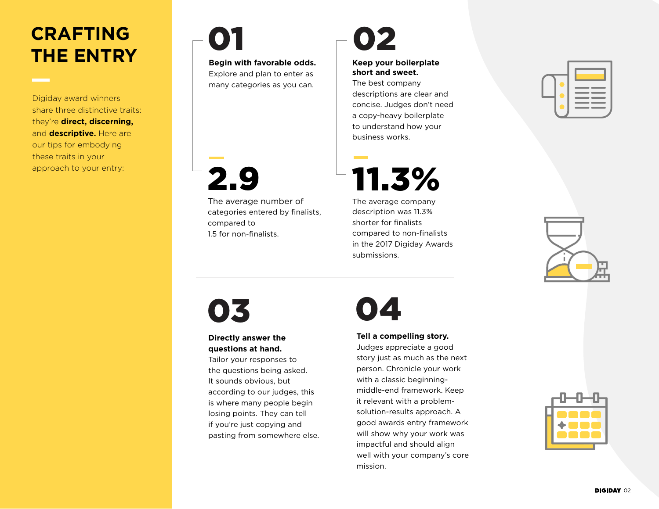### **CRAFTING THE ENTRY**

Digiday award winners share three distinctive traits: they're **direct, discerning,** and **descriptive.** Here are our tips for embodying these traits in your

# 01

**Begin with favorable odds.**  Explore and plan to enter as many categories as you can.



The average number of categories entered by finalists, compared to 1.5 for non-finalists.

# 02

#### **Keep your boilerplate short and sweet.**

The best company descriptions are clear and concise. Judges don't need a copy-heavy boilerplate to understand how your business works.



The average company description was 11.3% shorter for finalists compared to non-finalists in the 2017 Digiday Awards submissions.

|--|--|



# 03 04

### **Directly answer the questions at hand.**

Tailor your responses to the questions being asked. It sounds obvious, but according to our judges, this is where many people begin losing points. They can tell if you're just copying and pasting from somewhere else.



### **Tell a compelling story.**

Judges appreciate a good story just as much as the next person. Chronicle your work with a classic beginningmiddle-end framework. Keep it relevant with a problemsolution-results approach. A good awards entry framework will show why your work was impactful and should align well with your company's core mission.

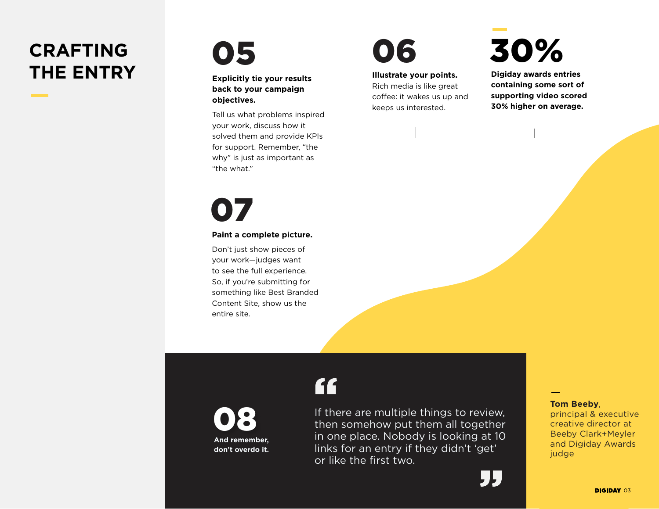## **CRAFTING THE ENTRY**

05

**Explicitly tie your results back to your campaign objectives.**

Tell us what problems inspired your work, discuss how it solved them and provide KPIs for support. Remember, "the why" is just as important as "the what."

07

#### **Paint a complete picture.**

Don't just show pieces of your work—judges want to see the full experience. So, if you're submitting for something like Best Branded Content Site, show us the entire site.

08 **And remember, don't overdo it.**

# 06

**Illustrate your points.**

If there are multiple things to review, then somehow put them all together in one place. Nobody is looking at 10 links for an entry if they didn't 'get'

or like the first two.

"

Rich media is like great coffee: it wakes us up and keeps us interested.

30%

**Digiday awards entries containing some sort of supporting video scored 30% higher on average.**

**Tom Beeby**,

principal & executive creative director at Beeby Clark+Meyler and Digiday Awards judge

"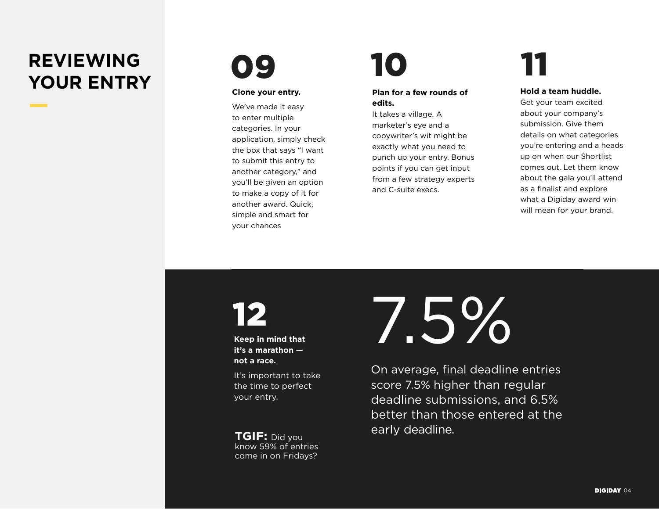## **REVIEWING REVIEWING 09 10 11**<br>YOUR ENTRY Close your entry



#### **Clone your entry.**

We've made it easy to enter multiple categories. In your application, simply check the box that says "I want to submit this entry to another category," and you'll be given an option to make a copy of it for another award. Quick, simple and smart for your chances

### **Plan for a few rounds of edits.**

It takes a village. A marketer's eye and a copywriter's wit might be exactly what you need to punch up your entry. Bonus points if you can get input from a few strategy experts and C-suite execs.

**Hold a team huddle.** Get your team excited

about your company's submission. Give them details on what categories you're entering and a heads up on when our Shortlist comes out. Let them know about the gala you'll attend as a finalist and explore what a Digiday award win will mean for your brand.

# 12

**Keep in mind that it's a marathon not a race.**

It's important to take the time to perfect your entry.

know 59% of entries come in on Fridays?

7.5%

On average, final deadline entries score 7.5% higher than regular deadline submissions, and 6.5% better than those entered at the early deadline. **TGIF:** Did you